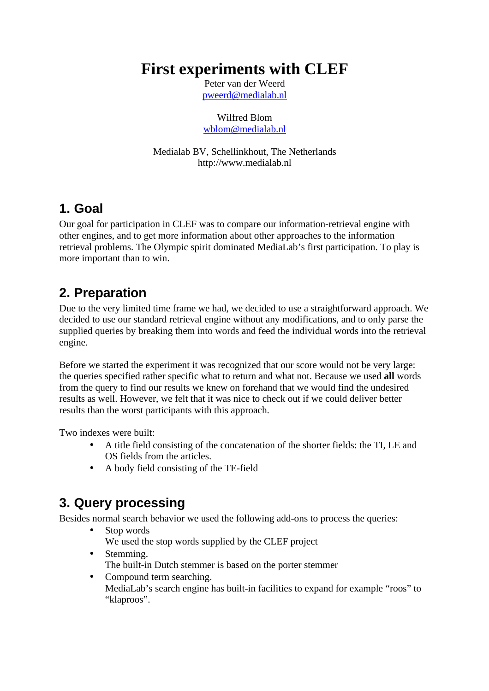# **First experiments with CLEF**

Peter van der Weerd pweerd@medialab.nl

Wilfred Blom wblom@medialab.nl

Medialab BV, Schellinkhout, The Netherlands http://www.medialab.nl

## **1. Goal**

Our goal for participation in CLEF was to compare our information-retrieval engine with other engines, and to get more information about other approaches to the information retrieval problems. The Olympic spirit dominated MediaLab's first participation. To play is more important than to win.

## **2. Preparation**

Due to the very limited time frame we had, we decided to use a straightforward approach. We decided to use our standard retrieval engine without any modifications, and to only parse the supplied queries by breaking them into words and feed the individual words into the retrieval engine.

Before we started the experiment it was recognized that our score would not be very large: the queries specified rather specific what to return and what not. Because we used **all** words from the query to find our results we knew on forehand that we would find the undesired results as well. However, we felt that it was nice to check out if we could deliver better results than the worst participants with this approach.

Two indexes were built:

- A title field consisting of the concatenation of the shorter fields: the TI, LE and OS fields from the articles.
- A body field consisting of the TE-field

# **3. Query processing**

Besides normal search behavior we used the following add-ons to process the queries:

- Stop words We used the stop words supplied by the CLEF project
- Stemming. The built-in Dutch stemmer is based on the porter stemmer
- Compound term searching. MediaLab's search engine has built-in facilities to expand for example "roos" to "klaproos".